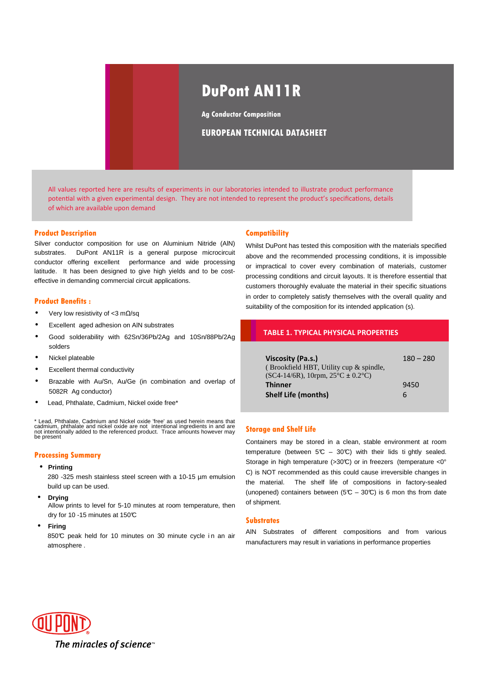# **DuPont AN11R**

**Ag Conductor Composition**

# **EUROPEAN TECHNICAL DATASHEET**

All values reported here are results of experiments in our laboratories intended to illustrate product performance potential with a given experimental design. They are not intended to represent the product's specifications, details of which are available upon demand

#### **Product Description**

Silver conductor composition for use on Aluminium Nitride (AlN) substrates. DuPont AN11R is a general purpose microcircuit conductor offering excellent performance and wide processing latitude. It has been designed to give high yields and to be costeffective in demanding commercial circuit applications.

#### **Product Benefits :**

- Very low resistivity of <3 mΩ/sq
- Excellent aged adhesion on AlN substrates
- Good solderability with 62Sn/36Pb/2Ag and 10Sn/88Pb/2Ag solders
- Nickel plateable
- **Excellent thermal conductivity**
- Brazable with Au/Sn, Au/Ge (in combination and overlap of 5082R Ag conductor)
- Lead, Phthalate, Cadmium, Nickel oxide free\*

\* Lead, Phthalate, Cadmium and Nickel oxide 'free' as used herein means that<br>cadmium, phthalate and nickel oxide are not intentional ingredients in and are<br>not intentionally added to the referenced product. Trace amounts h be present

# **Processing Summary**

• **Printing**

280 -325 mesh stainless steel screen with a 10-15 µm emulsion build up can be used.

• **Drying**

Allow prints to level for 5-10 minutes at room temperature, then dry for 10 -15 minutes at 150°C

• **Firing**

850°C peak held for 10 minutes on 30 minute cycle in an air atmosphere .

#### **Compatibility**

Whilst DuPont has tested this composition with the materials specified above and the recommended processing conditions, it is impossible or impractical to cover every combination of materials, customer processing conditions and circuit layouts. It is therefore essential that customers thoroughly evaluate the material in their specific situations in order to completely satisfy themselves with the overall quality and suitability of the composition for its intended application (s).

#### **TABLE 1. TYPICAL PHYSICAL PROPERTIES**

| Viscosity (Pa.s.)                                       | $180 - 280$ |
|---------------------------------------------------------|-------------|
| (Brookfield HBT, Utility cup & spindle,                 |             |
| $(SC4-14/6R)$ , 10rpm, $25^{\circ}C \pm 0.2^{\circ}C$ ) |             |
| <b>Thinner</b>                                          | 9450        |
| <b>Shelf Life (months)</b>                              | h           |

# **Storage and Shelf Life**

Containers may be stored in a clean, stable environment at room temperature (between  $5C - 30C$ ) with their lids ti ghtly sealed. Storage in high temperature (>30°C) or in freezers (temperature <0° C) is NOT recommended as this could cause irreversible changes in the material. The shelf life of compositions in factory-sealed (unopened) containers between ( $5C - 30C$ ) is 6 mon ths from date of shipment.

#### **Substrates**

AlN Substrates of different compositions and from various manufacturers may result in variations in performance properties

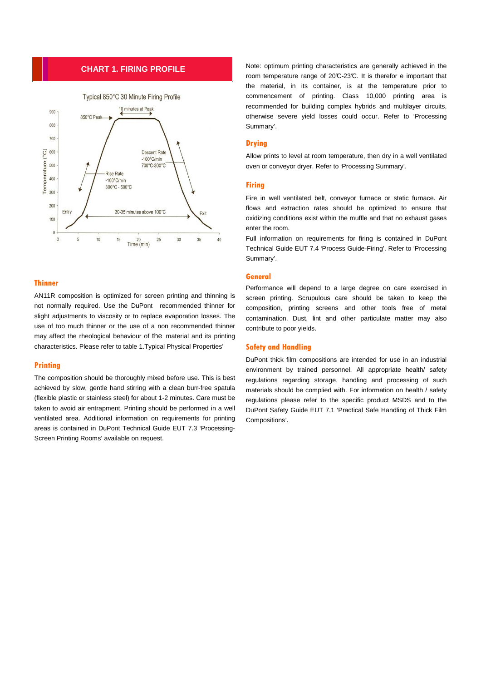# **CHART 1. FIRING PROFILE**



# **Thinner**

AN11R composition is optimized for screen printing and thinning is not normally required. Use the DuPont recommended thinner for slight adjustments to viscosity or to replace evaporation losses. The use of too much thinner or the use of a non recommended thinner may affect the rheological behaviour of the material and its printing characteristics. Please refer to table 1.Typical Physical Properties'

#### **Printing**

The composition should be thoroughly mixed before use. This is best achieved by slow, gentle hand stirring with a clean burr-free spatula (flexible plastic or stainless steel) for about 1-2 minutes. Care must be taken to avoid air entrapment. Printing should be performed in a well ventilated area. Additional information on requirements for printing areas is contained in DuPont Technical Guide EUT 7.3 'Processing-Screen Printing Rooms' available on request.

Note: optimum printing characteristics are generally achieved in the room temperature range of 20°C-23°C. It is therefor e important that the material, in its container, is at the temperature prior to commencement of printing. Class 10,000 printing area is recommended for building complex hybrids and multilayer circuits, otherwise severe yield losses could occur. Refer to 'Processing Summary'.

# **Drying**

Allow prints to level at room temperature, then dry in a well ventilated oven or conveyor dryer. Refer to 'Processing Summary'.

### **Firing**

Fire in well ventilated belt, conveyor furnace or static furnace. Air flows and extraction rates should be optimized to ensure that oxidizing conditions exist within the muffle and that no exhaust gases enter the room.

Full information on requirements for firing is contained in DuPont Technical Guide EUT 7.4 'Process Guide-Firing'. Refer to 'Processing Summary'.

#### **General**

Performance will depend to a large degree on care exercised in screen printing. Scrupulous care should be taken to keep the composition, printing screens and other tools free of metal contamination. Dust, lint and other particulate matter may also contribute to poor yields.

#### **Safety and Handling**

DuPont thick film compositions are intended for use in an industrial environment by trained personnel. All appropriate health/ safety regulations regarding storage, handling and processing of such materials should be complied with. For information on health / safety regulations please refer to the specific product MSDS and to the DuPont Safety Guide EUT 7.1 'Practical Safe Handling of Thick Film Compositions'.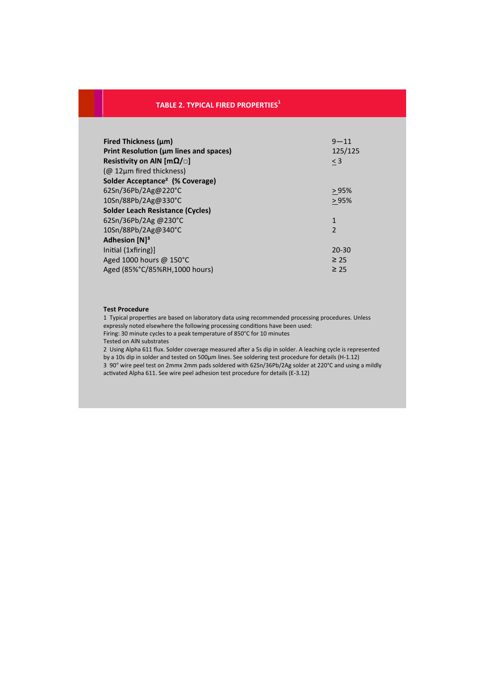# **TABLE 2. TYPICAL FIRED PROPERTIES<sup>1</sup>**

| <b>Fired Thickness (um)</b>                 | $9 - 11$       |
|---------------------------------------------|----------------|
| Print Resolution (um lines and spaces)      | 125/125        |
| Resistivity on AIN [m $\Omega/\Box$ ]       | $<$ 3          |
| (@ 12μm fired thickness)                    |                |
| Solder Acceptance <sup>2</sup> (% Coverage) |                |
| 62Sn/36Pb/2Ag@220°C                         | >95%           |
| 10Sn/88Pb/2Ag@330°C                         | >95%           |
| <b>Solder Leach Resistance (Cycles)</b>     |                |
| $62$ Sn/36Pb/2Ag @230°C                     | $\mathbf{1}$   |
| 10Sn/88Pb/2Ag@340°C                         | $\overline{2}$ |
| Adhesion [N] <sup>3</sup>                   |                |
| Initial (1xfiring)]                         | $20 - 30$      |
| Aged 1000 hours @ $150^{\circ}$ C           | $\geq 25$      |
| Aged (85%°C/85%RH,1000 hours)               | $\geq 25$      |

#### **Test Procedure**

1 Typical properties are based on laboratory data using recommended processing procedures. Unless expressly noted elsewhere the following processing conditions have been used: Firing: 30 minute cycles to a peak temperature of 850°C for 10 minutes Tested on AlN substrates

2 Using Alpha 611 flux. Solder coverage measured after a 5s dip in solder. A leaching cycle is represented by a 10s dip in solder and tested on 500µm lines. See soldering test procedure for details (H-1.12) 3 90° wire peel test on 2mmx 2mm pads soldered with 62Sn/36Pb/2Ag solder at 220°C and using a mildly activated Alpha 611. See wire peel adhesion test procedure for details (E-3.12)